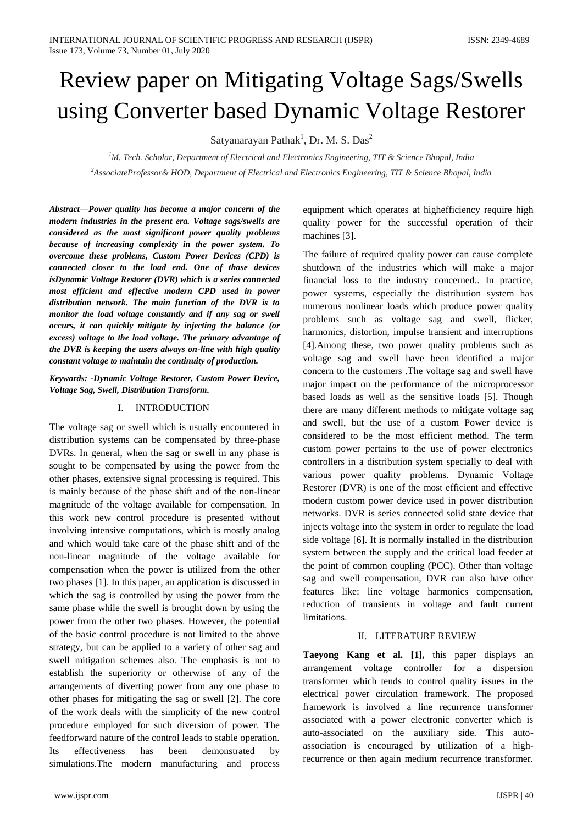# Review paper on Mitigating Voltage Sags/Swells using Converter based Dynamic Voltage Restorer

Satyanarayan Pathak<sup>1</sup>, Dr. M. S. Das<sup>2</sup>

*<sup>1</sup>M. Tech. Scholar, Department of Electrical and Electronics Engineering, TIT & Science Bhopal, India <sup>2</sup>AssociateProfessor& HOD, Department of Electrical and Electronics Engineering, TIT & Science Bhopal, India*

*Abstract—Power quality has become a major concern of the modern industries in the present era. Voltage sags/swells are considered as the most significant power quality problems because of increasing complexity in the power system. To overcome these problems, Custom Power Devices (CPD) is connected closer to the load end. One of those devices isDynamic Voltage Restorer (DVR) which is a series connected most efficient and effective modern CPD used in power distribution network. The main function of the DVR is to monitor the load voltage constantly and if any sag or swell occurs, it can quickly mitigate by injecting the balance (or excess) voltage to the load voltage. The primary advantage of the DVR is keeping the users always on-line with high quality constant voltage to maintain the continuity of production.*

### *Keywords: -Dynamic Voltage Restorer, Custom Power Device, Voltage Sag, Swell, Distribution Transform.*

# I. INTRODUCTION

The voltage sag or swell which is usually encountered in distribution systems can be compensated by three-phase DVRs. In general, when the sag or swell in any phase is sought to be compensated by using the power from the other phases, extensive signal processing is required. This is mainly because of the phase shift and of the non-linear magnitude of the voltage available for compensation. In this work new control procedure is presented without involving intensive computations, which is mostly analog and which would take care of the phase shift and of the non-linear magnitude of the voltage available for compensation when the power is utilized from the other two phases [1]. In this paper, an application is discussed in which the sag is controlled by using the power from the same phase while the swell is brought down by using the power from the other two phases. However, the potential of the basic control procedure is not limited to the above strategy, but can be applied to a variety of other sag and swell mitigation schemes also. The emphasis is not to establish the superiority or otherwise of any of the arrangements of diverting power from any one phase to other phases for mitigating the sag or swell [2]. The core of the work deals with the simplicity of the new control procedure employed for such diversion of power. The feedforward nature of the control leads to stable operation. Its effectiveness has been demonstrated by simulations.The modern manufacturing and process

equipment which operates at highefficiency require high quality power for the successful operation of their machines [3].

The failure of required quality power can cause complete shutdown of the industries which will make a major financial loss to the industry concerned.. In practice, power systems, especially the distribution system has numerous nonlinear loads which produce power quality problems such as voltage sag and swell, flicker, harmonics, distortion, impulse transient and interruptions [4].Among these, two power quality problems such as voltage sag and swell have been identified a major concern to the customers .The voltage sag and swell have major impact on the performance of the microprocessor based loads as well as the sensitive loads [5]. Though there are many different methods to mitigate voltage sag and swell, but the use of a custom Power device is considered to be the most efficient method. The term custom power pertains to the use of power electronics controllers in a distribution system specially to deal with various power quality problems. Dynamic Voltage Restorer (DVR) is one of the most efficient and effective modern custom power device used in power distribution networks. DVR is series connected solid state device that injects voltage into the system in order to regulate the load side voltage [6]. It is normally installed in the distribution system between the supply and the critical load feeder at the point of common coupling (PCC). Other than voltage sag and swell compensation, DVR can also have other features like: line voltage harmonics compensation, reduction of transients in voltage and fault current limitations.

# II. LITERATURE REVIEW

**Taeyong Kang et al. [1],** this paper displays an arrangement voltage controller for a dispersion transformer which tends to control quality issues in the electrical power circulation framework. The proposed framework is involved a line recurrence transformer associated with a power electronic converter which is auto-associated on the auxiliary side. This autoassociation is encouraged by utilization of a highrecurrence or then again medium recurrence transformer.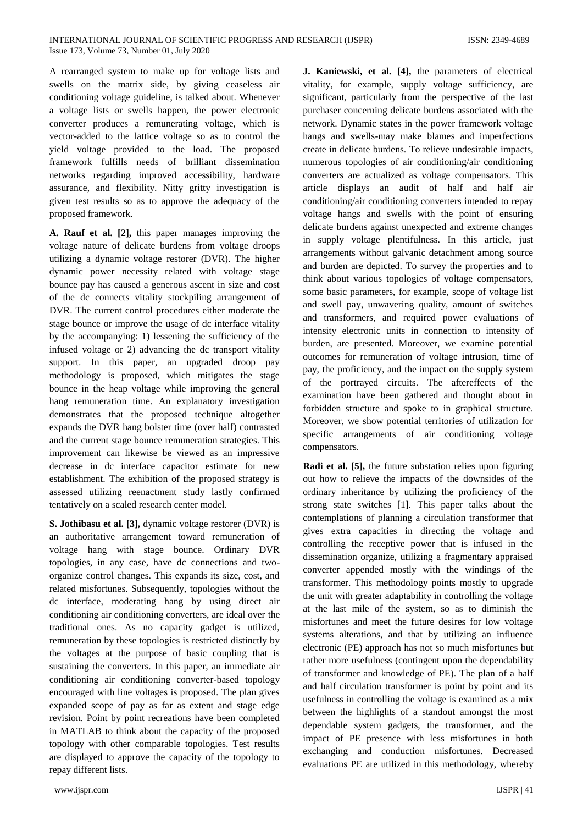A rearranged system to make up for voltage lists and swells on the matrix side, by giving ceaseless air conditioning voltage guideline, is talked about. Whenever a voltage lists or swells happen, the power electronic converter produces a remunerating voltage, which is vector-added to the lattice voltage so as to control the yield voltage provided to the load. The proposed framework fulfills needs of brilliant dissemination networks regarding improved accessibility, hardware assurance, and flexibility. Nitty gritty investigation is given test results so as to approve the adequacy of the proposed framework.

**A. Rauf et al. [2],** this paper manages improving the voltage nature of delicate burdens from voltage droops utilizing a dynamic voltage restorer (DVR). The higher dynamic power necessity related with voltage stage bounce pay has caused a generous ascent in size and cost of the dc connects vitality stockpiling arrangement of DVR. The current control procedures either moderate the stage bounce or improve the usage of dc interface vitality by the accompanying: 1) lessening the sufficiency of the infused voltage or 2) advancing the dc transport vitality support. In this paper, an upgraded droop pay methodology is proposed, which mitigates the stage bounce in the heap voltage while improving the general hang remuneration time. An explanatory investigation demonstrates that the proposed technique altogether expands the DVR hang bolster time (over half) contrasted and the current stage bounce remuneration strategies. This improvement can likewise be viewed as an impressive decrease in dc interface capacitor estimate for new establishment. The exhibition of the proposed strategy is assessed utilizing reenactment study lastly confirmed tentatively on a scaled research center model.

**S. Jothibasu et al. [3],** dynamic voltage restorer (DVR) is an authoritative arrangement toward remuneration of voltage hang with stage bounce. Ordinary DVR topologies, in any case, have dc connections and twoorganize control changes. This expands its size, cost, and related misfortunes. Subsequently, topologies without the dc interface, moderating hang by using direct air conditioning air conditioning converters, are ideal over the traditional ones. As no capacity gadget is utilized, remuneration by these topologies is restricted distinctly by the voltages at the purpose of basic coupling that is sustaining the converters. In this paper, an immediate air conditioning air conditioning converter-based topology encouraged with line voltages is proposed. The plan gives expanded scope of pay as far as extent and stage edge revision. Point by point recreations have been completed in MATLAB to think about the capacity of the proposed topology with other comparable topologies. Test results are displayed to approve the capacity of the topology to repay different lists.

**J. Kaniewski, et al. [4],** the parameters of electrical vitality, for example, supply voltage sufficiency, are significant, particularly from the perspective of the last purchaser concerning delicate burdens associated with the network. Dynamic states in the power framework voltage hangs and swells-may make blames and imperfections create in delicate burdens. To relieve undesirable impacts, numerous topologies of air conditioning/air conditioning converters are actualized as voltage compensators. This article displays an audit of half and half air conditioning/air conditioning converters intended to repay voltage hangs and swells with the point of ensuring delicate burdens against unexpected and extreme changes in supply voltage plentifulness. In this article, just arrangements without galvanic detachment among source and burden are depicted. To survey the properties and to think about various topologies of voltage compensators, some basic parameters, for example, scope of voltage list and swell pay, unwavering quality, amount of switches and transformers, and required power evaluations of intensity electronic units in connection to intensity of burden, are presented. Moreover, we examine potential outcomes for remuneration of voltage intrusion, time of pay, the proficiency, and the impact on the supply system of the portrayed circuits. The aftereffects of the examination have been gathered and thought about in forbidden structure and spoke to in graphical structure. Moreover, we show potential territories of utilization for specific arrangements of air conditioning voltage compensators.

**Radi et al. [5],** the future substation relies upon figuring out how to relieve the impacts of the downsides of the ordinary inheritance by utilizing the proficiency of the strong state switches [1]. This paper talks about the contemplations of planning a circulation transformer that gives extra capacities in directing the voltage and controlling the receptive power that is infused in the dissemination organize, utilizing a fragmentary appraised converter appended mostly with the windings of the transformer. This methodology points mostly to upgrade the unit with greater adaptability in controlling the voltage at the last mile of the system, so as to diminish the misfortunes and meet the future desires for low voltage systems alterations, and that by utilizing an influence electronic (PE) approach has not so much misfortunes but rather more usefulness (contingent upon the dependability of transformer and knowledge of PE). The plan of a half and half circulation transformer is point by point and its usefulness in controlling the voltage is examined as a mix between the highlights of a standout amongst the most dependable system gadgets, the transformer, and the impact of PE presence with less misfortunes in both exchanging and conduction misfortunes. Decreased evaluations PE are utilized in this methodology, whereby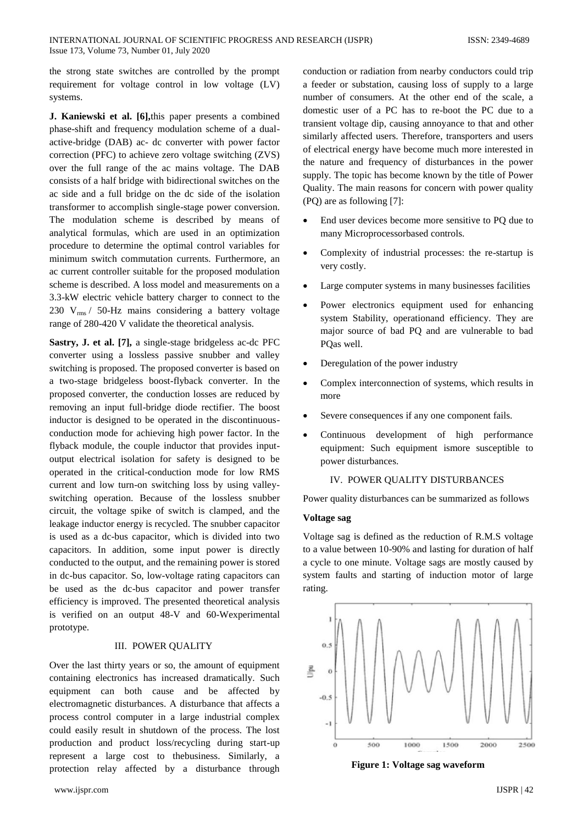the strong state switches are controlled by the prompt requirement for voltage control in low voltage (LV) systems.

**J. Kaniewski et al. [6],**this paper presents a combined phase-shift and frequency modulation scheme of a dualactive-bridge (DAB) ac- dc converter with power factor correction (PFC) to achieve zero voltage switching (ZVS) over the full range of the ac mains voltage. The DAB consists of a half bridge with bidirectional switches on the ac side and a full bridge on the dc side of the isolation transformer to accomplish single-stage power conversion. The modulation scheme is described by means of analytical formulas, which are used in an optimization procedure to determine the optimal control variables for minimum switch commutation currents. Furthermore, an ac current controller suitable for the proposed modulation scheme is described. A loss model and measurements on a 3.3-kW electric vehicle battery charger to connect to the 230  $V_{rms}$  / 50-Hz mains considering a battery voltage range of 280-420 V validate the theoretical analysis.

**Sastry, J. et al. [7],** a single-stage bridgeless ac-dc PFC converter using a lossless passive snubber and valley switching is proposed. The proposed converter is based on a two-stage bridgeless boost-flyback converter. In the proposed converter, the conduction losses are reduced by removing an input full-bridge diode rectifier. The boost inductor is designed to be operated in the discontinuousconduction mode for achieving high power factor. In the flyback module, the couple inductor that provides inputoutput electrical isolation for safety is designed to be operated in the critical-conduction mode for low RMS current and low turn-on switching loss by using valleyswitching operation. Because of the lossless snubber circuit, the voltage spike of switch is clamped, and the leakage inductor energy is recycled. The snubber capacitor is used as a dc-bus capacitor, which is divided into two capacitors. In addition, some input power is directly conducted to the output, and the remaining power is stored in dc-bus capacitor. So, low-voltage rating capacitors can be used as the dc-bus capacitor and power transfer efficiency is improved. The presented theoretical analysis is verified on an output 48-V and 60-Wexperimental prototype.

# III. POWER QUALITY

Over the last thirty years or so, the amount of equipment containing electronics has increased dramatically. Such equipment can both cause and be affected by electromagnetic disturbances. A disturbance that affects a process control computer in a large industrial complex could easily result in shutdown of the process. The lost production and product loss/recycling during start-up represent a large cost to thebusiness. Similarly, a protection relay affected by a disturbance through

conduction or radiation from nearby conductors could trip a feeder or substation, causing loss of supply to a large number of consumers. At the other end of the scale, a domestic user of a PC has to re-boot the PC due to a transient voltage dip, causing annoyance to that and other similarly affected users. Therefore, transporters and users of electrical energy have become much more interested in the nature and frequency of disturbances in the power supply. The topic has become known by the title of Power Quality. The main reasons for concern with power quality (PQ) are as following [7]:

- End user devices become more sensitive to PQ due to many Microprocessorbased controls.
- Complexity of industrial processes: the re-startup is very costly.
- Large computer systems in many businesses facilities
- Power electronics equipment used for enhancing system Stability, operationand efficiency. They are major source of bad PQ and are vulnerable to bad PQas well.
- Deregulation of the power industry
- Complex interconnection of systems, which results in more
- Severe consequences if any one component fails.
- Continuous development of high performance equipment: Such equipment ismore susceptible to power disturbances.

### IV. POWER QUALITY DISTURBANCES

Power quality disturbances can be summarized as follows

#### **Voltage sag**

Voltage sag is defined as the reduction of R.M.S voltage to a value between 10-90% and lasting for duration of half a cycle to one minute. Voltage sags are mostly caused by system faults and starting of induction motor of large rating.



**Figure 1: Voltage sag waveform**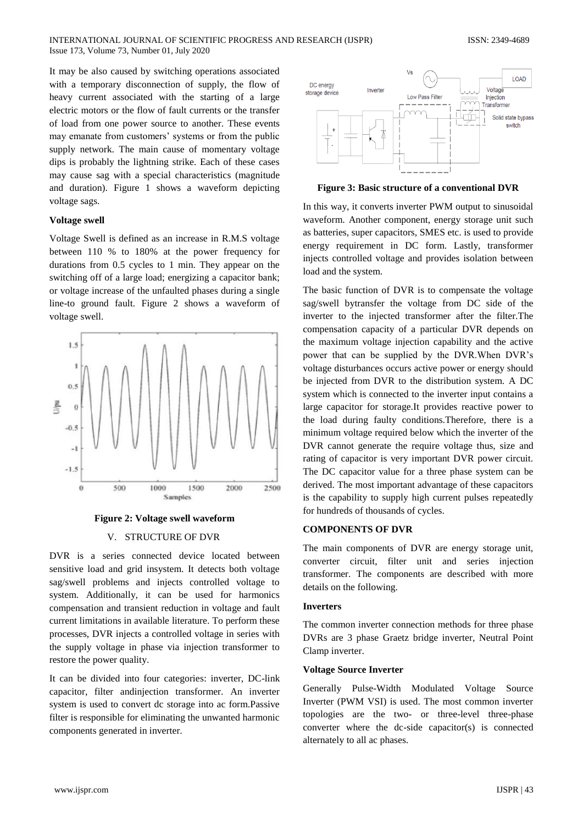It may be also caused by switching operations associated with a temporary disconnection of supply, the flow of heavy current associated with the starting of a large electric motors or the flow of fault currents or the transfer of load from one power source to another. These events may emanate from customers' systems or from the public supply network. The main cause of momentary voltage dips is probably the lightning strike. Each of these cases may cause sag with a special characteristics (magnitude and duration). Figure 1 shows a waveform depicting voltage sags.

# **Voltage swell**

Voltage Swell is defined as an increase in R.M.S voltage between 110 % to 180% at the power frequency for durations from 0.5 cycles to 1 min. They appear on the switching off of a large load; energizing a capacitor bank; or voltage increase of the unfaulted phases during a single line-to ground fault. Figure 2 shows a waveform of voltage swell.



**Figure 2: Voltage swell waveform**

#### V. STRUCTURE OF DVR

DVR is a series connected device located between sensitive load and grid insystem. It detects both voltage sag/swell problems and injects controlled voltage to system. Additionally, it can be used for harmonics compensation and transient reduction in voltage and fault current limitations in available literature. To perform these processes, DVR injects a controlled voltage in series with the supply voltage in phase via injection transformer to restore the power quality.

It can be divided into four categories: inverter, DC-link capacitor, filter andinjection transformer. An inverter system is used to convert dc storage into ac form.Passive filter is responsible for eliminating the unwanted harmonic components generated in inverter.



**Figure 3: Basic structure of a conventional DVR**

In this way, it converts inverter PWM output to sinusoidal waveform. Another component, energy storage unit such as batteries, super capacitors, SMES etc. is used to provide energy requirement in DC form. Lastly, transformer injects controlled voltage and provides isolation between load and the system.

The basic function of DVR is to compensate the voltage sag/swell bytransfer the voltage from DC side of the inverter to the injected transformer after the filter.The compensation capacity of a particular DVR depends on the maximum voltage injection capability and the active power that can be supplied by the DVR.When DVR's voltage disturbances occurs active power or energy should be injected from DVR to the distribution system. A DC system which is connected to the inverter input contains a large capacitor for storage.It provides reactive power to the load during faulty conditions.Therefore, there is a minimum voltage required below which the inverter of the DVR cannot generate the require voltage thus, size and rating of capacitor is very important DVR power circuit. The DC capacitor value for a three phase system can be derived. The most important advantage of these capacitors is the capability to supply high current pulses repeatedly for hundreds of thousands of cycles.

# **COMPONENTS OF DVR**

The main components of DVR are energy storage unit, converter circuit, filter unit and series injection transformer. The components are described with more details on the following.

#### **Inverters**

The common inverter connection methods for three phase DVRs are 3 phase Graetz bridge inverter, Neutral Point Clamp inverter.

#### **Voltage Source Inverter**

Generally Pulse-Width Modulated Voltage Source Inverter (PWM VSI) is used. The most common inverter topologies are the two- or three-level three-phase converter where the dc-side capacitor(s) is connected alternately to all ac phases.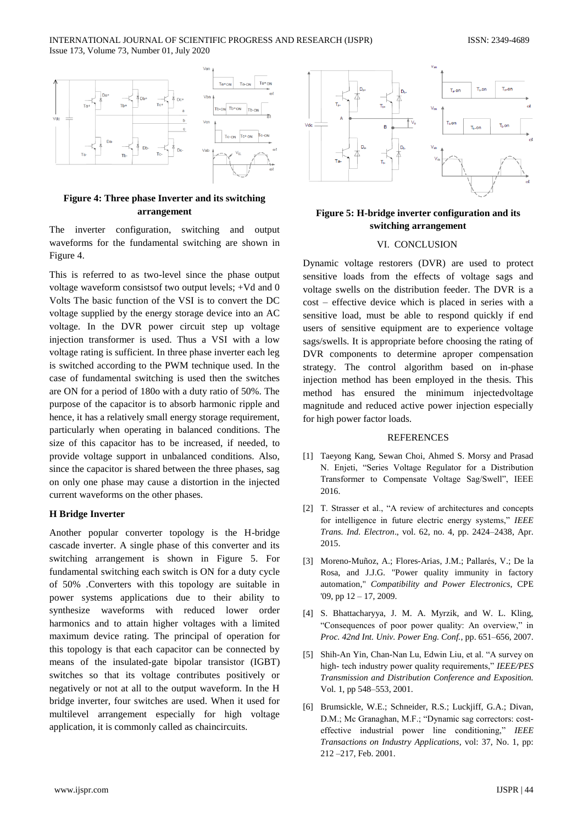INTERNATIONAL JOURNAL OF SCIENTIFIC PROGRESS AND RESEARCH (IJSPR) ISSN: 2349-4689 Issue 173, Volume 73, Number 01, July 2020



# **Figure 4: Three phase Inverter and its switching arrangement**

The inverter configuration, switching and output waveforms for the fundamental switching are shown in Figure 4.

This is referred to as two-level since the phase output voltage waveform consistsof two output levels; +Vd and 0 Volts The basic function of the VSI is to convert the DC voltage supplied by the energy storage device into an AC voltage. In the DVR power circuit step up voltage injection transformer is used. Thus a VSI with a low voltage rating is sufficient. In three phase inverter each leg is switched according to the PWM technique used. In the case of fundamental switching is used then the switches are ON for a period of 180o with a duty ratio of 50%. The purpose of the capacitor is to absorb harmonic ripple and hence, it has a relatively small energy storage requirement, particularly when operating in balanced conditions. The size of this capacitor has to be increased, if needed, to provide voltage support in unbalanced conditions. Also, since the capacitor is shared between the three phases, sag on only one phase may cause a distortion in the injected current waveforms on the other phases.

#### **H Bridge Inverter**

Another popular converter topology is the H-bridge cascade inverter. A single phase of this converter and its switching arrangement is shown in Figure 5. For fundamental switching each switch is ON for a duty cycle of 50% .Converters with this topology are suitable in power systems applications due to their ability to synthesize waveforms with reduced lower order harmonics and to attain higher voltages with a limited maximum device rating. The principal of operation for this topology is that each capacitor can be connected by means of the insulated-gate bipolar transistor (IGBT) switches so that its voltage contributes positively or negatively or not at all to the output waveform. In the H bridge inverter, four switches are used. When it used for multilevel arrangement especially for high voltage application, it is commonly called as chaincircuits.



# **Figure 5: H-bridge inverter configuration and its switching arrangement**

#### VI. CONCLUSION

Dynamic voltage restorers (DVR) are used to protect sensitive loads from the effects of voltage sags and voltage swells on the distribution feeder. The DVR is a cost – effective device which is placed in series with a sensitive load, must be able to respond quickly if end users of sensitive equipment are to experience voltage sags/swells. It is appropriate before choosing the rating of DVR components to determine aproper compensation strategy. The control algorithm based on in-phase injection method has been employed in the thesis. This method has ensured the minimum injectedvoltage magnitude and reduced active power injection especially for high power factor loads.

#### **REFERENCES**

- [1] Taeyong Kang, Sewan Choi, Ahmed S. Morsy and Prasad N. Enjeti, "Series Voltage Regulator for a Distribution Transformer to Compensate Voltage Sag/Swell", IEEE 2016.
- [2] T. Strasser et al., "A review of architectures and concepts for intelligence in future electric energy systems," IEEE *Trans. Ind. Electron*., vol. 62, no. 4, pp. 2424–2438, Apr. 2015.
- [3] Moreno-Muñoz, A.; Flores-Arias, J.M.; Pallarés, V.; De la Rosa, and J.J.G. "Power quality immunity in factory automation," *Compatibility and Power Electronics*, CPE '09, pp 12 – 17, 2009.
- [4] S. Bhattacharyya, J. M. A. Myrzik, and W. L. Kling, "Consequences of poor power quality: An overview," in *Proc. 42nd Int. Univ. Power Eng. Conf.*, pp. 651–656, 2007.
- [5] Shih-An Yin, Chan-Nan Lu, Edwin Liu, et al. "A survey on high- tech industry power quality requirements," *IEEE/PES Transmission and Distribution Conference and Exposition.*  Vol. 1, pp 548–553, 2001.
- [6] Brumsickle, W.E.; Schneider, R.S.; Luckiiff, G.A.; Divan, D.M.; Mc Granaghan, M.F.; "Dynamic sag correctors: costeffective industrial power line conditioning," *IEEE Transactions on Industry Applications*, vol: 37, No. 1, pp: 212 –217, Feb. 2001.